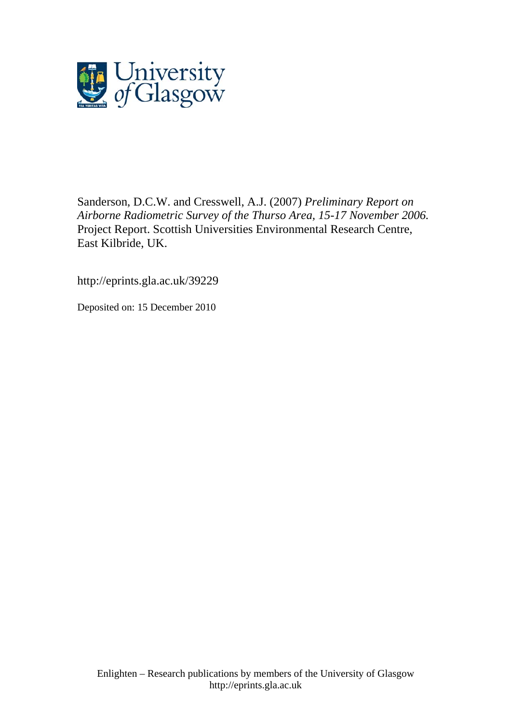

Sanderson, D.C.W. and Cresswell, A.J. (2007) *Preliminary Report on Airborne Radiometric Survey of the Thurso Area, 15-17 November 2006.* Project Report. Scottish Universities Environmental Research Centre, East Kilbride, UK.

http://eprints.gla.ac.uk/39229

Deposited on: 15 December 2010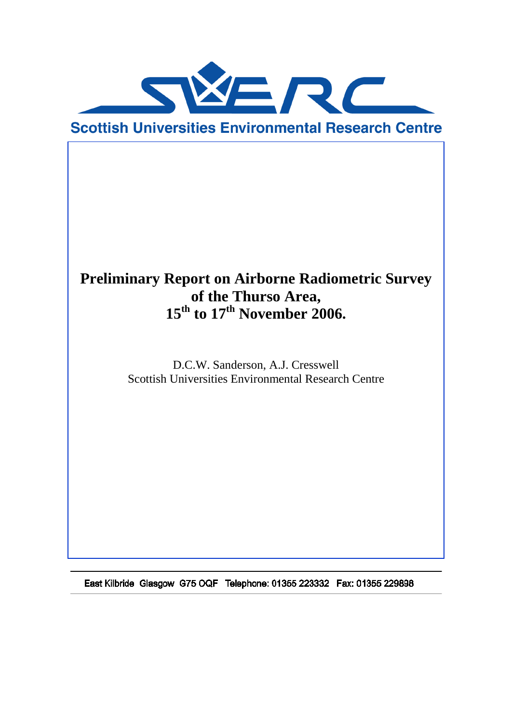

# **Preliminary Report on Airborne Radiometric Survey of the Thurso Area, 15th to 17th November 2006.**

D.C.W. Sanderson, A.J. Cresswell Scottish Universities Environmental Research Centre

East Kilbride Glasgow G75 OQF Telephone: 01355 223332 Fax: 01355 229898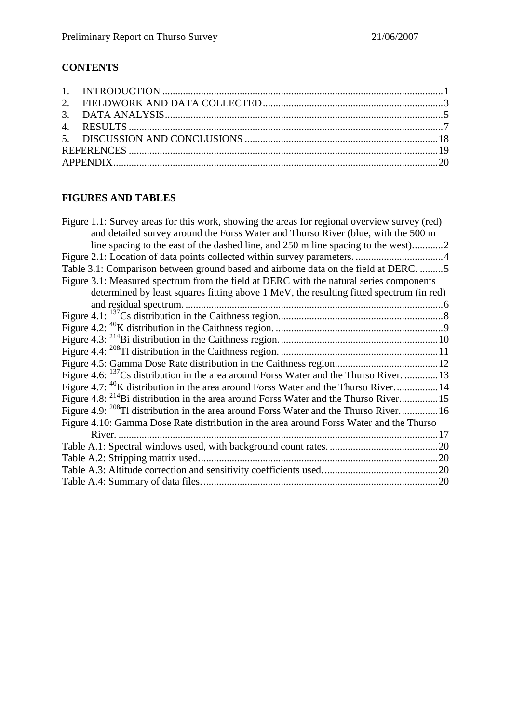# **CONTENTS**

# **FIGURES AND TABLES**

| Figure 1.1: Survey areas for this work, showing the areas for regional overview survey (red)       |
|----------------------------------------------------------------------------------------------------|
| and detailed survey around the Forss Water and Thurso River (blue, with the 500 m                  |
|                                                                                                    |
|                                                                                                    |
| Table 3.1: Comparison between ground based and airborne data on the field at DERC. 5               |
| Figure 3.1: Measured spectrum from the field at DERC with the natural series components            |
| determined by least squares fitting above 1 MeV, the resulting fitted spectrum (in red)            |
|                                                                                                    |
|                                                                                                    |
|                                                                                                    |
|                                                                                                    |
|                                                                                                    |
|                                                                                                    |
| Figure 4.6: <sup>137</sup> Cs distribution in the area around Forss Water and the Thurso River. 13 |
| Figure 4.7: <sup>40</sup> K distribution in the area around Forss Water and the Thurso River14     |
| Figure 4.8: <sup>214</sup> Bi distribution in the area around Forss Water and the Thurso River15   |
| Figure 4.9: <sup>208</sup> Tl distribution in the area around Forss Water and the Thurso River16   |
| Figure 4.10: Gamma Dose Rate distribution in the area around Forss Water and the Thurso            |
|                                                                                                    |
|                                                                                                    |
|                                                                                                    |
|                                                                                                    |
|                                                                                                    |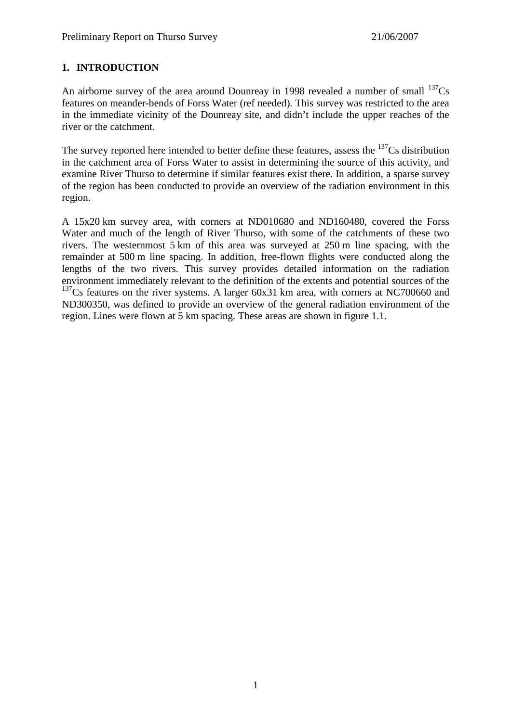## **1. INTRODUCTION**

An airborne survey of the area around Dounreay in 1998 revealed a number of small  $^{137}Cs$ features on meander-bends of Forss Water (ref needed). This survey was restricted to the area in the immediate vicinity of the Dounreay site, and didn't include the upper reaches of the river or the catchment.

The survey reported here intended to better define these features, assess the  $137Cs$  distribution in the catchment area of Forss Water to assist in determining the source of this activity, and examine River Thurso to determine if similar features exist there. In addition, a sparse survey of the region has been conducted to provide an overview of the radiation environment in this region.

A 15x20 km survey area, with corners at ND010680 and ND160480, covered the Forss Water and much of the length of River Thurso, with some of the catchments of these two rivers. The westernmost 5 km of this area was surveyed at 250 m line spacing, with the remainder at 500 m line spacing. In addition, free-flown flights were conducted along the lengths of the two rivers. This survey provides detailed information on the radiation environment immediately relevant to the definition of the extents and potential sources of the <sup>137</sup>Cs features on the river systems. A larger 60x31 km area, with corners at NC700660 and ND300350, was defined to provide an overview of the general radiation environment of the region. Lines were flown at 5 km spacing. These areas are shown in figure 1.1.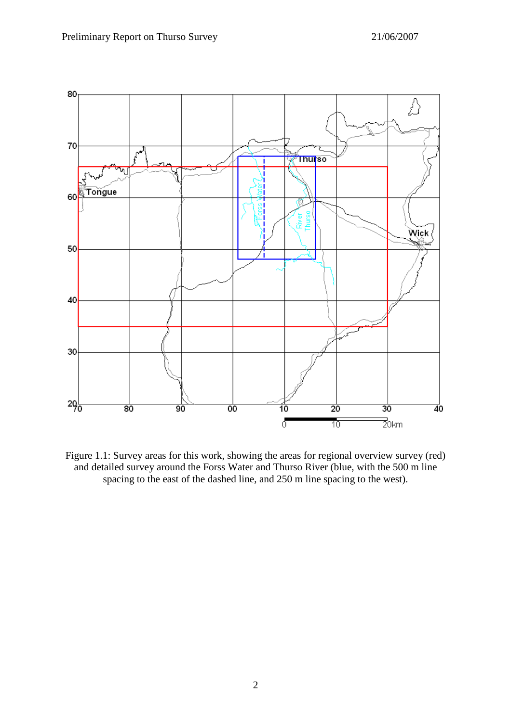

Figure 1.1: Survey areas for this work, showing the areas for regional overview survey (red) and detailed survey around the Forss Water and Thurso River (blue, with the 500 m line spacing to the east of the dashed line, and 250 m line spacing to the west).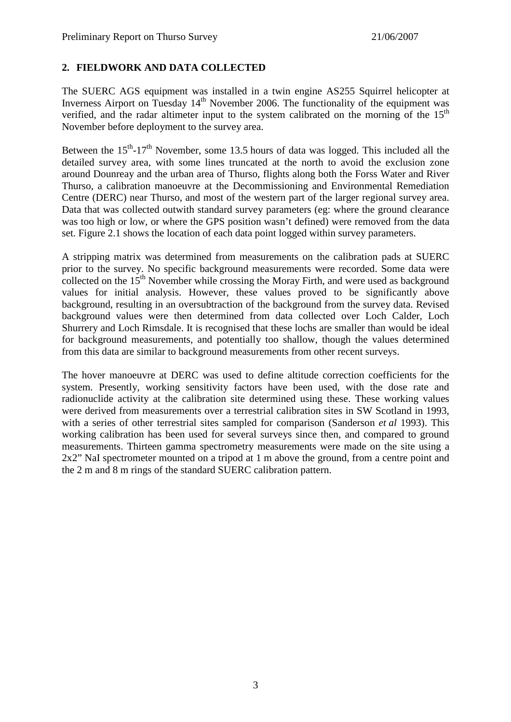#### **2. FIELDWORK AND DATA COLLECTED**

The SUERC AGS equipment was installed in a twin engine AS255 Squirrel helicopter at Inverness Airport on Tuesday  $14<sup>th</sup>$  November 2006. The functionality of the equipment was verified, and the radar altimeter input to the system calibrated on the morning of the  $15<sup>th</sup>$ November before deployment to the survey area.

Between the  $15<sup>th</sup>$ -17<sup>th</sup> November, some 13.5 hours of data was logged. This included all the detailed survey area, with some lines truncated at the north to avoid the exclusion zone around Dounreay and the urban area of Thurso, flights along both the Forss Water and River Thurso, a calibration manoeuvre at the Decommissioning and Environmental Remediation Centre (DERC) near Thurso, and most of the western part of the larger regional survey area. Data that was collected outwith standard survey parameters (eg: where the ground clearance was too high or low, or where the GPS position wasn't defined) were removed from the data set. Figure 2.1 shows the location of each data point logged within survey parameters.

A stripping matrix was determined from measurements on the calibration pads at SUERC prior to the survey. No specific background measurements were recorded. Some data were collected on the  $15<sup>th</sup>$  November while crossing the Moray Firth, and were used as background values for initial analysis. However, these values proved to be significantly above background, resulting in an oversubtraction of the background from the survey data. Revised background values were then determined from data collected over Loch Calder, Loch Shurrery and Loch Rimsdale. It is recognised that these lochs are smaller than would be ideal for background measurements, and potentially too shallow, though the values determined from this data are similar to background measurements from other recent surveys.

The hover manoeuvre at DERC was used to define altitude correction coefficients for the system. Presently, working sensitivity factors have been used, with the dose rate and radionuclide activity at the calibration site determined using these. These working values were derived from measurements over a terrestrial calibration sites in SW Scotland in 1993, with a series of other terrestrial sites sampled for comparison (Sanderson *et al* 1993). This working calibration has been used for several surveys since then, and compared to ground measurements. Thirteen gamma spectrometry measurements were made on the site using a 2x2" NaI spectrometer mounted on a tripod at 1 m above the ground, from a centre point and the 2 m and 8 m rings of the standard SUERC calibration pattern.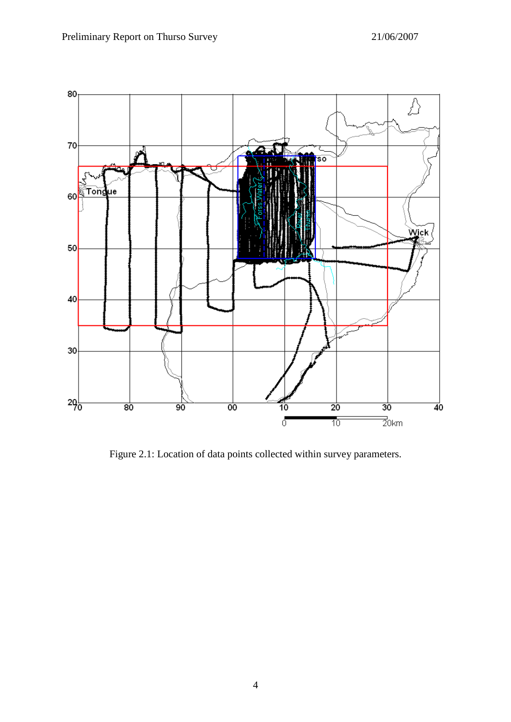

Figure 2.1: Location of data points collected within survey parameters.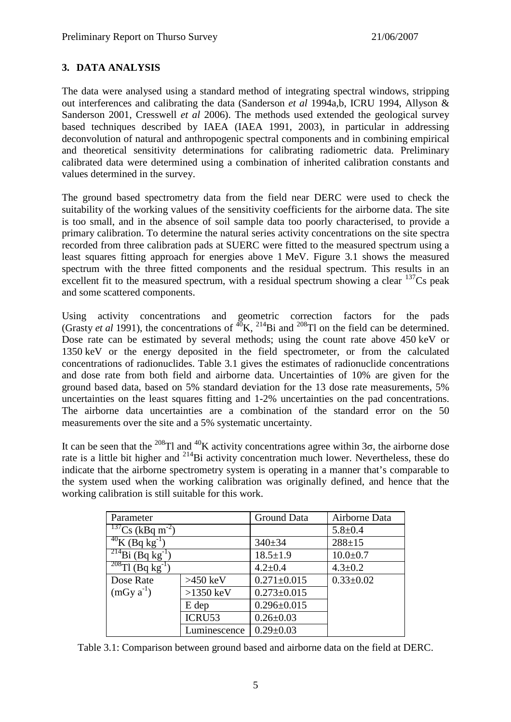#### **3. DATA ANALYSIS**

The data were analysed using a standard method of integrating spectral windows, stripping out interferences and calibrating the data (Sanderson *et al* 1994a,b, ICRU 1994, Allyson & Sanderson 2001, Cresswell *et al* 2006). The methods used extended the geological survey based techniques described by IAEA (IAEA 1991, 2003), in particular in addressing deconvolution of natural and anthropogenic spectral components and in combining empirical and theoretical sensitivity determinations for calibrating radiometric data. Preliminary calibrated data were determined using a combination of inherited calibration constants and values determined in the survey.

The ground based spectrometry data from the field near DERC were used to check the suitability of the working values of the sensitivity coefficients for the airborne data. The site is too small, and in the absence of soil sample data too poorly characterised, to provide a primary calibration. To determine the natural series activity concentrations on the site spectra recorded from three calibration pads at SUERC were fitted to the measured spectrum using a least squares fitting approach for energies above 1 MeV. Figure 3.1 shows the measured spectrum with the three fitted components and the residual spectrum. This results in an excellent fit to the measured spectrum, with a residual spectrum showing a clear  $137Cs$  peak and some scattered components.

Using activity concentrations and geometric correction factors for the pads (Grasty *et al* 1991), the concentrations of <sup>40</sup>K, <sup>214</sup>Bi and <sup>208</sup>Tl on the field can be determined. Dose rate can be estimated by several methods; using the count rate above 450 keV or 1350 keV or the energy deposited in the field spectrometer, or from the calculated concentrations of radionuclides. Table 3.1 gives the estimates of radionuclide concentrations and dose rate from both field and airborne data. Uncertainties of 10% are given for the ground based data, based on 5% standard deviation for the 13 dose rate measurements, 5% uncertainties on the least squares fitting and 1-2% uncertainties on the pad concentrations. The airborne data uncertainties are a combination of the standard error on the 50 measurements over the site and a 5% systematic uncertainty.

It can be seen that the <sup>208</sup>Tl and <sup>40</sup>K activity concentrations agree within 3 $\sigma$ , the airborne dose rate is a little bit higher and <sup>214</sup>Bi activity concentration much lower. Nevertheless, these do indicate that the airborne spectrometry system is operating in a manner that's comparable to the system used when the working calibration was originally defined, and hence that the working calibration is still suitable for this work.

| Parameter                                      |              | Ground Data       | Airborne Data   |
|------------------------------------------------|--------------|-------------------|-----------------|
| $\frac{137}{\text{Cs}}$ (kBq m <sup>-2</sup> ) |              |                   | $5.8 \pm 0.4$   |
| $^{40}$ K (Bq kg <sup>-1</sup> )               |              | $340 \pm 34$      | $288 + 15$      |
| $214$ Bi (Bq kg <sup>-1</sup> )                |              | $18.5 \pm 1.9$    | $10.0 + 0.7$    |
| $\frac{208}{\text{T1}}$ (Bq kg <sup>-1</sup> ) |              | $4.2 \pm 0.4$     | $4.3 \pm 0.2$   |
| Dose Rate                                      | $>450$ keV   | $0.271 \pm 0.015$ | $0.33 \pm 0.02$ |
| $(mGy a^{-1})$                                 | $>1350$ keV  | $0.273 \pm 0.015$ |                 |
|                                                | E dep        | $0.296 \pm 0.015$ |                 |
|                                                | ICRU53       | $0.26 \pm 0.03$   |                 |
|                                                | Luminescence | $0.29 \pm 0.03$   |                 |

Table 3.1: Comparison between ground based and airborne data on the field at DERC.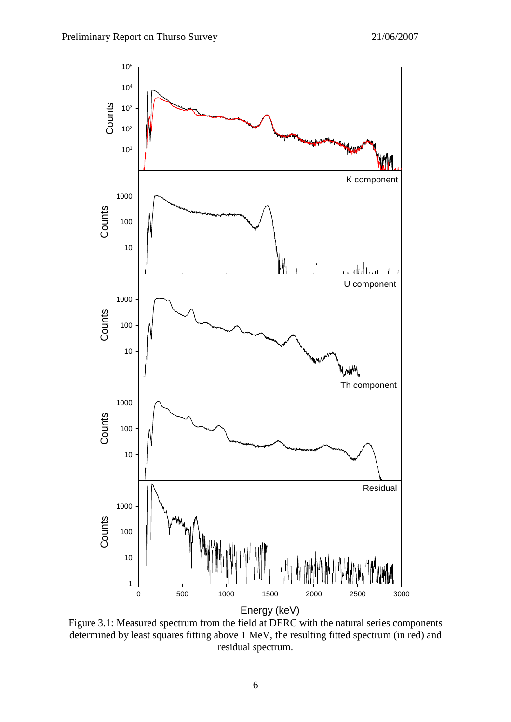

Figure 3.1: Measured spectrum from the field at DERC with the natural series components determined by least squares fitting above 1 MeV, the resulting fitted spectrum (in red) and residual spectrum.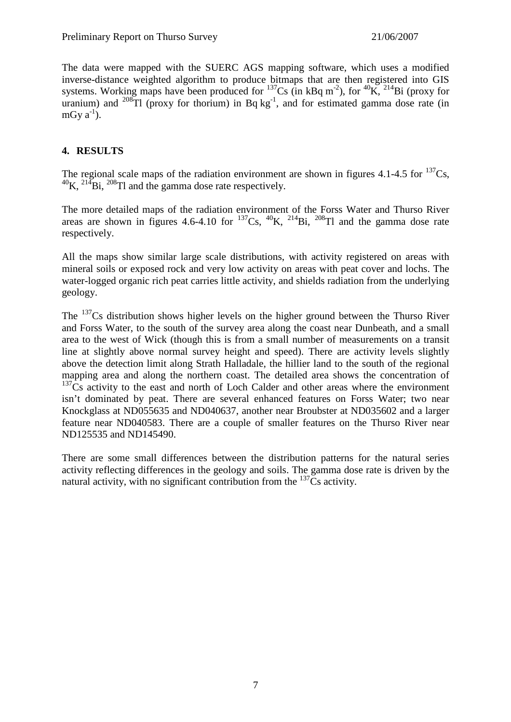The data were mapped with the SUERC AGS mapping software, which uses a modified inverse-distance weighted algorithm to produce bitmaps that are then registered into GIS systems. Working maps have been produced for  $137Cs$  (in kBq m<sup>-2</sup>), for  $40K$ ,  $214Bi$  (proxy for uranium) and  $^{208}$ Tl (proxy for thorium) in Bq kg<sup>-1</sup>, and for estimated gamma dose rate (in mGy  $a^{-1}$ ).

## **4. RESULTS**

The regional scale maps of the radiation environment are shown in figures 4.1-4.5 for  $^{137}Cs$ ,  $^{40}$ K,  $^{214}$ Bi,  $^{208}$ Tl and the gamma dose rate respectively.

The more detailed maps of the radiation environment of the Forss Water and Thurso River areas are shown in figures 4.6-4.10 for  $^{137}Cs$ ,  $^{40}K$ ,  $^{214}Bi$ ,  $^{208}Tl$  and the gamma dose rate respectively.

All the maps show similar large scale distributions, with activity registered on areas with mineral soils or exposed rock and very low activity on areas with peat cover and lochs. The water-logged organic rich peat carries little activity, and shields radiation from the underlying geology.

The  $137$ Cs distribution shows higher levels on the higher ground between the Thurso River and Forss Water, to the south of the survey area along the coast near Dunbeath, and a small area to the west of Wick (though this is from a small number of measurements on a transit line at slightly above normal survey height and speed). There are activity levels slightly above the detection limit along Strath Halladale, the hillier land to the south of the regional mapping area and along the northern coast. The detailed area shows the concentration of  $137Cs$  activity to the east and north of Loch Calder and other areas where the environment isn't dominated by peat. There are several enhanced features on Forss Water; two near Knockglass at ND055635 and ND040637, another near Broubster at ND035602 and a larger feature near ND040583. There are a couple of smaller features on the Thurso River near ND125535 and ND145490.

There are some small differences between the distribution patterns for the natural series activity reflecting differences in the geology and soils. The gamma dose rate is driven by the natural activity, with no significant contribution from the  $^{137}Cs$  activity.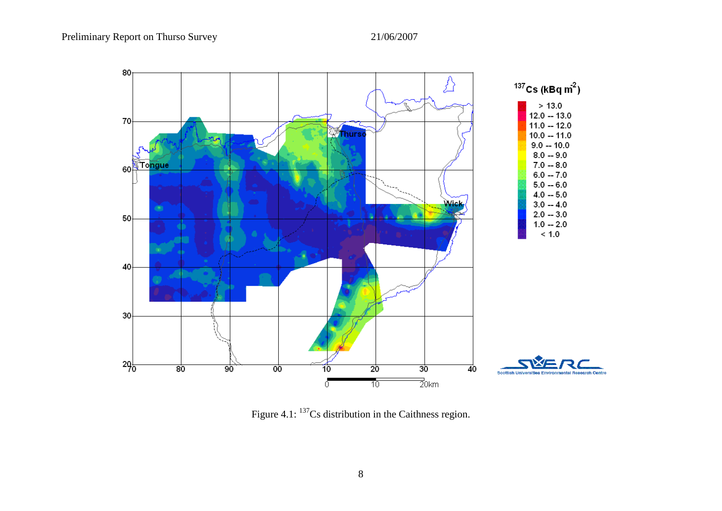

Figure 4.1: <sup>137</sup>Cs distribution in the Caithness region.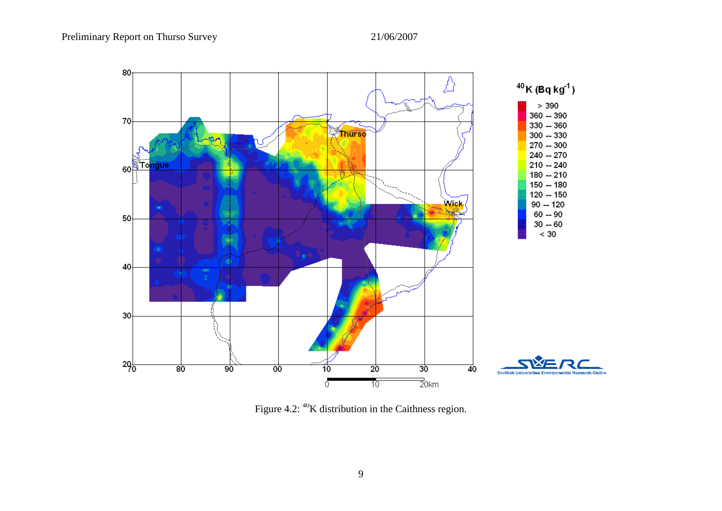

Figure 4.2: <sup>40</sup>K distribution in the Caithness region.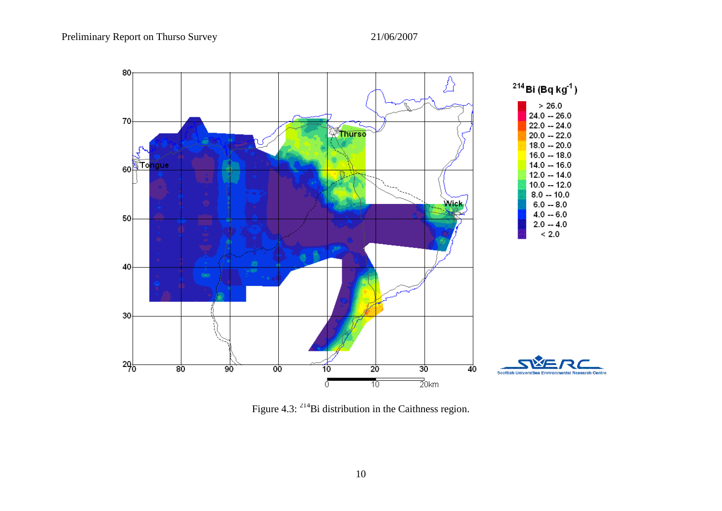

Figure 4.3: <sup>214</sup>Bi distribution in the Caithness region.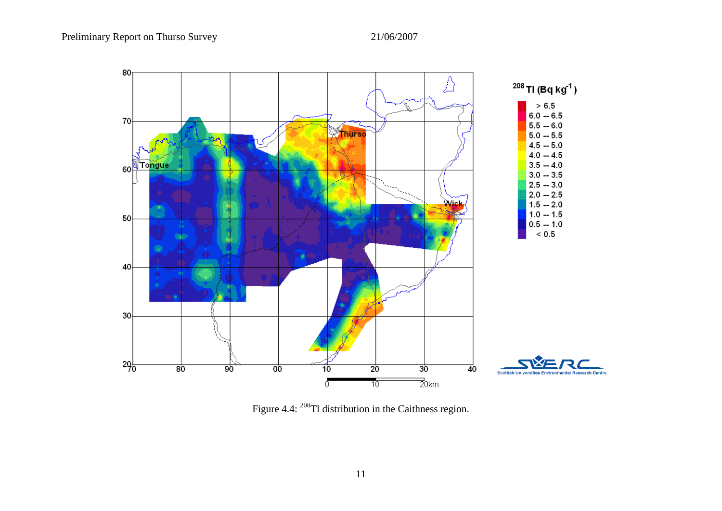

Figure 4.4: <sup>208</sup>Tl distribution in the Caithness region.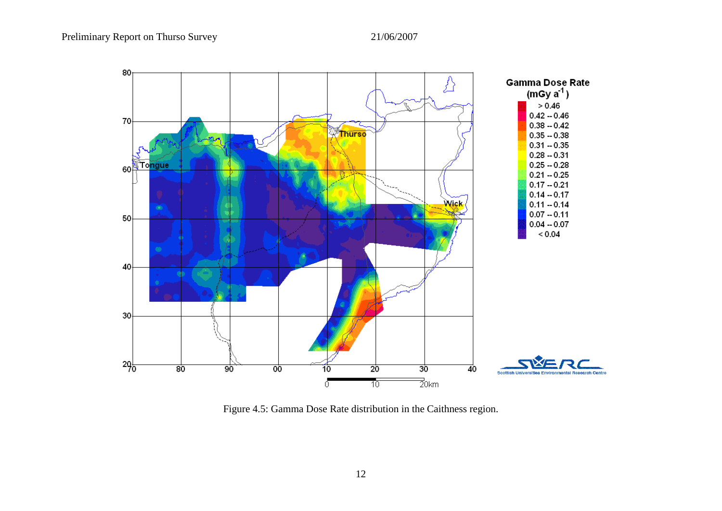

Figure 4.5: Gamma Dose Rate distribution in the Caithness region.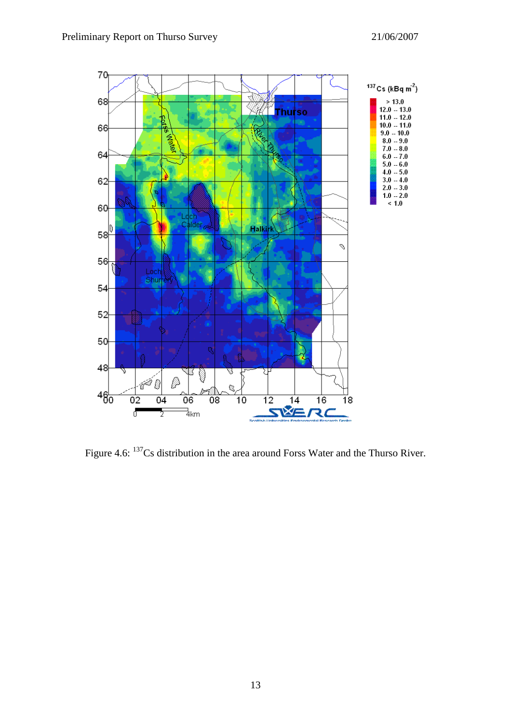

Figure 4.6: <sup>137</sup>Cs distribution in the area around Forss Water and the Thurso River.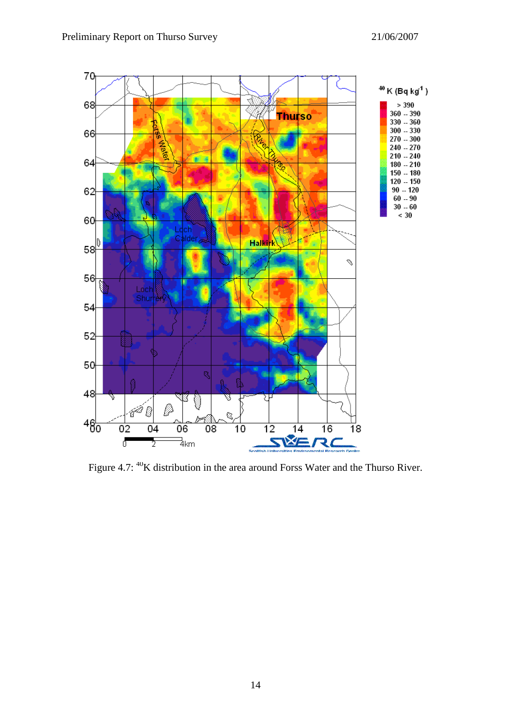

Figure 4.7: <sup>40</sup>K distribution in the area around Forss Water and the Thurso River.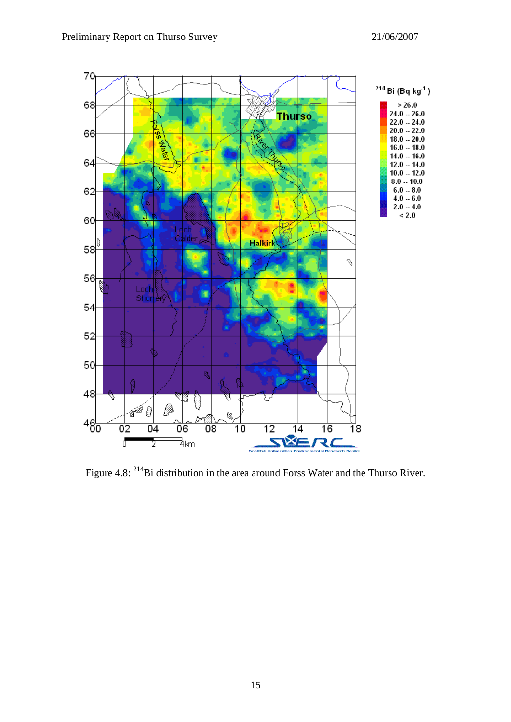

Figure 4.8: <sup>214</sup>Bi distribution in the area around Forss Water and the Thurso River.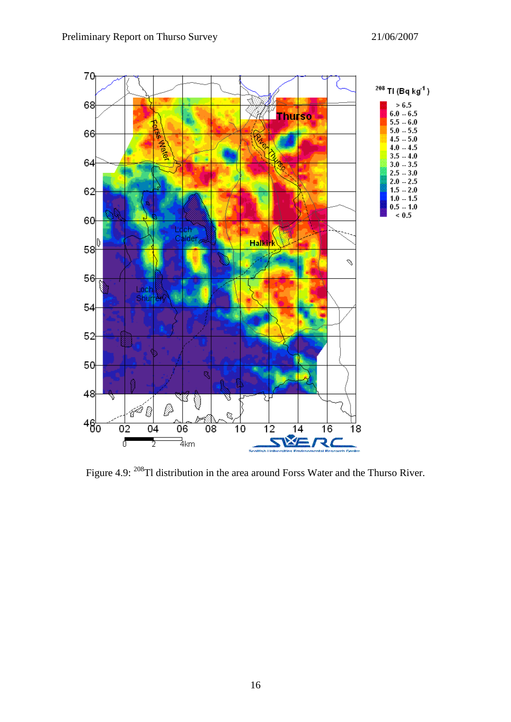

Figure 4.9: <sup>208</sup>Tl distribution in the area around Forss Water and the Thurso River.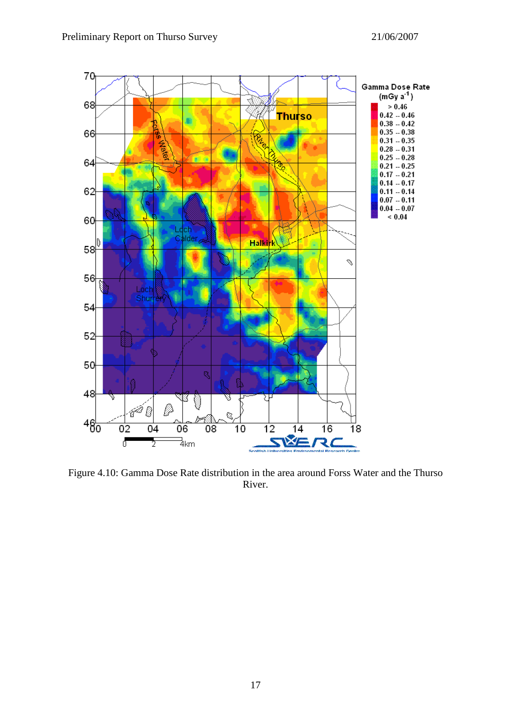

Figure 4.10: Gamma Dose Rate distribution in the area around Forss Water and the Thurso River.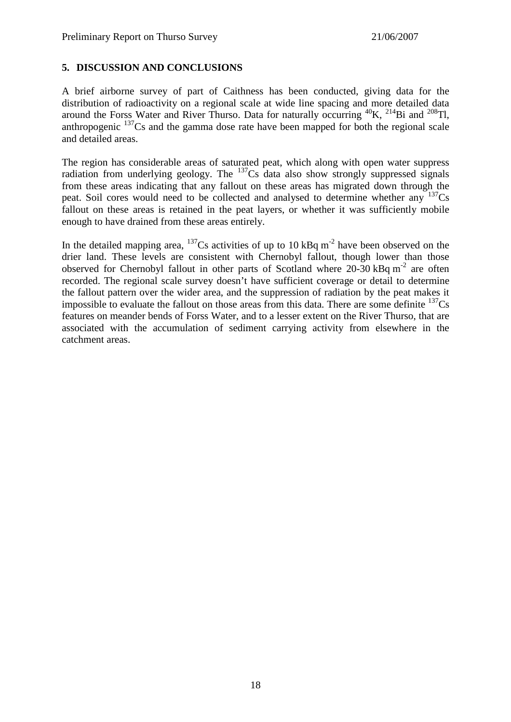#### **5. DISCUSSION AND CONCLUSIONS**

A brief airborne survey of part of Caithness has been conducted, giving data for the distribution of radioactivity on a regional scale at wide line spacing and more detailed data around the Forss Water and River Thurso. Data for naturally occurring  ${}^{40}$ K,  ${}^{214}$ Bi and  ${}^{208}$ Tl, anthropogenic  $137Cs$  and the gamma dose rate have been mapped for both the regional scale and detailed areas.

The region has considerable areas of saturated peat, which along with open water suppress radiation from underlying geology. The  $^{137}Cs$  data also show strongly suppressed signals from these areas indicating that any fallout on these areas has migrated down through the peat. Soil cores would need to be collected and analysed to determine whether any  $137Cs$ fallout on these areas is retained in the peat layers, or whether it was sufficiently mobile enough to have drained from these areas entirely.

In the detailed mapping area,  $137$ Cs activities of up to 10 kBq m<sup>-2</sup> have been observed on the drier land. These levels are consistent with Chernobyl fallout, though lower than those observed for Chernobyl fallout in other parts of Scotland where  $20-30$  kBq m<sup>-2</sup> are often recorded. The regional scale survey doesn't have sufficient coverage or detail to determine the fallout pattern over the wider area, and the suppression of radiation by the peat makes it impossible to evaluate the fallout on those areas from this data. There are some definite  $137\text{Cs}$ features on meander bends of Forss Water, and to a lesser extent on the River Thurso, that are associated with the accumulation of sediment carrying activity from elsewhere in the catchment areas.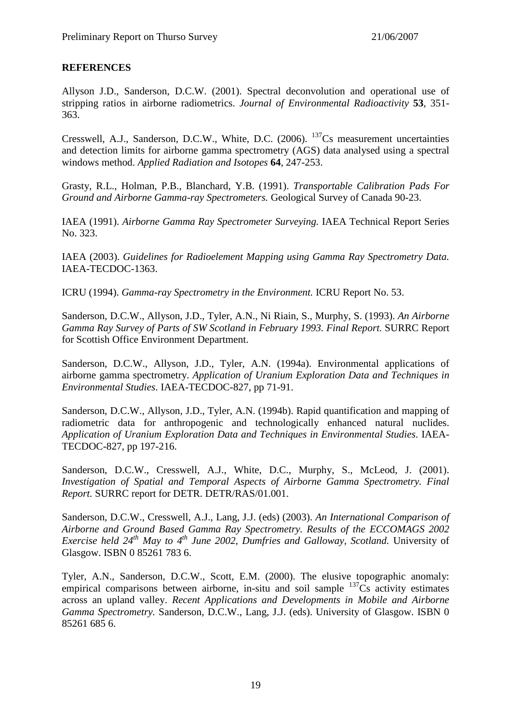#### **REFERENCES**

Allyson J.D., Sanderson, D.C.W. (2001). Spectral deconvolution and operational use of stripping ratios in airborne radiometrics. *Journal of Environmental Radioactivity* **53**, 351- 363.

Cresswell, A.J., Sanderson, D.C.W., White, D.C.  $(2006)$ .  $^{137}$ Cs measurement uncertainties and detection limits for airborne gamma spectrometry (AGS) data analysed using a spectral windows method. *Applied Radiation and Isotopes* **64**, 247-253.

Grasty, R.L., Holman, P.B., Blanchard, Y.B. (1991). *Transportable Calibration Pads For Ground and Airborne Gamma-ray Spectrometers.* Geological Survey of Canada 90-23.

IAEA (1991). *Airborne Gamma Ray Spectrometer Surveying.* IAEA Technical Report Series No. 323.

IAEA (2003). *Guidelines for Radioelement Mapping using Gamma Ray Spectrometry Data.*  IAEA-TECDOC-1363.

ICRU (1994). *Gamma-ray Spectrometry in the Environment.* ICRU Report No. 53.

Sanderson, D.C.W., Allyson, J.D., Tyler, A.N., Ni Riain, S., Murphy, S. (1993). *An Airborne Gamma Ray Survey of Parts of SW Scotland in February 1993. Final Report.* SURRC Report for Scottish Office Environment Department.

Sanderson, D.C.W., Allyson, J.D., Tyler, A.N. (1994a). Environmental applications of airborne gamma spectrometry. *Application of Uranium Exploration Data and Techniques in Environmental Studies*. IAEA-TECDOC-827, pp 71-91.

Sanderson, D.C.W., Allyson, J.D., Tyler, A.N. (1994b). Rapid quantification and mapping of radiometric data for anthropogenic and technologically enhanced natural nuclides. *Application of Uranium Exploration Data and Techniques in Environmental Studies*. IAEA-TECDOC-827, pp 197-216.

Sanderson, D.C.W., Cresswell, A.J., White, D.C., Murphy, S., McLeod, J. (2001). *Investigation of Spatial and Temporal Aspects of Airborne Gamma Spectrometry. Final Report.* SURRC report for DETR. DETR/RAS/01.001.

Sanderson, D.C.W., Cresswell, A.J., Lang, J.J. (eds) (2003). *An International Comparison of Airborne and Ground Based Gamma Ray Spectrometry. Results of the ECCOMAGS 2002 Exercise held 24th May to 4th June 2002, Dumfries and Galloway, Scotland.* University of Glasgow. ISBN 0 85261 783 6.

Tyler, A.N., Sanderson, D.C.W., Scott, E.M. (2000). The elusive topographic anomaly: empirical comparisons between airborne, in-situ and soil sample  $137Cs$  activity estimates across an upland valley. *Recent Applications and Developments in Mobile and Airborne Gamma Spectrometry.* Sanderson, D.C.W., Lang, J.J. (eds). University of Glasgow. ISBN 0 85261 685 6.